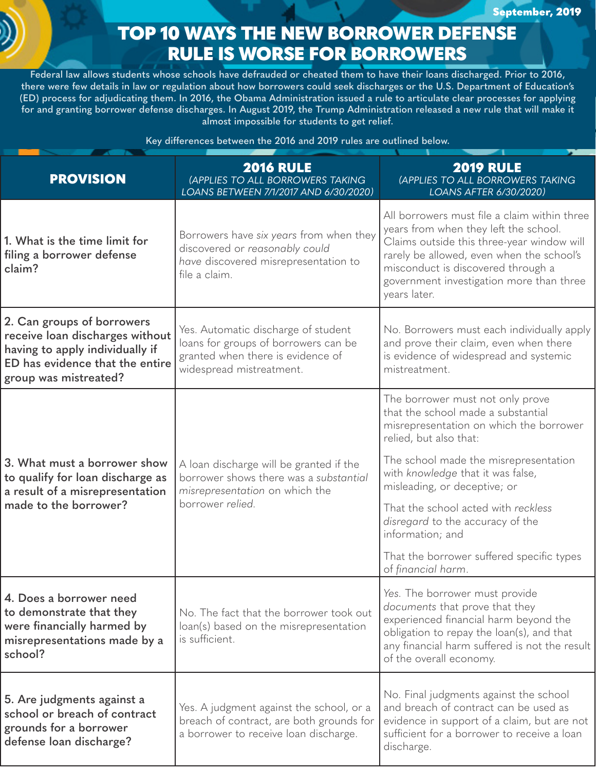## TOP 10 WAYS THE NEW BORROWER DEFENSE RULE IS WORSE FOR BORROWERS

**Federal law allows students whose schools have defrauded or cheated them to have their loans discharged. Prior to 2016, there were few details in law or regulation about how borrowers could seek discharges or the U.S. Department of Education's (ED) process for adjudicating them. In 2016, the Obama Administration issued a rule to articulate clear processes for applying for and granting borrower defense discharges. In August 2019, the Trump Administration released a new rule that will make it almost impossible for students to get relief.** 

**Key differences between the 2016 and 2019 rules are outlined below.** 

| <b>PROVISION</b>                                                                                                                                             | <b>2016 RULE</b><br>(APPLIES TO ALL BORROWERS TAKING<br>LOANS BETWEEN 7/1/2017 AND 6/30/2020)                                                | <b>2019 RULE</b><br>(APPLIES TO ALL BORROWERS TAKING<br>LOANS AFTER 6/30/2020)                                                                                                                                                                                                     |
|--------------------------------------------------------------------------------------------------------------------------------------------------------------|----------------------------------------------------------------------------------------------------------------------------------------------|------------------------------------------------------------------------------------------------------------------------------------------------------------------------------------------------------------------------------------------------------------------------------------|
| 1. What is the time limit for<br>filing a borrower defense<br>claim?                                                                                         | Borrowers have six years from when they<br>discovered or reasonably could<br>have discovered misrepresentation to<br>file a claim.           | All borrowers must file a claim within three<br>years from when they left the school.<br>Claims outside this three-year window will<br>rarely be allowed, even when the school's<br>misconduct is discovered through a<br>government investigation more than three<br>years later. |
| 2. Can groups of borrowers<br>receive loan discharges without<br>having to apply individually if<br>ED has evidence that the entire<br>group was mistreated? | Yes. Automatic discharge of student<br>loans for groups of borrowers can be<br>granted when there is evidence of<br>widespread mistreatment. | No. Borrowers must each individually apply<br>and prove their claim, even when there<br>is evidence of widespread and systemic<br>mistreatment.                                                                                                                                    |
| 3. What must a borrower show<br>to qualify for loan discharge as<br>a result of a misrepresentation<br>made to the borrower?                                 | A loan discharge will be granted if the<br>borrower shows there was a substantial<br>misrepresentation on which the<br>borrower relied.      | The borrower must not only prove<br>that the school made a substantial<br>misrepresentation on which the borrower<br>relied, but also that:                                                                                                                                        |
|                                                                                                                                                              |                                                                                                                                              | The school made the misrepresentation<br>with knowledge that it was false,<br>misleading, or deceptive; or                                                                                                                                                                         |
|                                                                                                                                                              |                                                                                                                                              | That the school acted with reckless<br>disregard to the accuracy of the<br>information; and                                                                                                                                                                                        |
|                                                                                                                                                              |                                                                                                                                              | That the borrower suffered specific types<br>of financial harm.                                                                                                                                                                                                                    |
| 4. Does a borrower need<br>to demonstrate that they<br>were financially harmed by<br>misrepresentations made by a<br>school?                                 | No. The fact that the borrower took out<br>loan(s) based on the misrepresentation<br>is sufficient.                                          | Yes. The borrower must provide<br>documents that prove that they<br>experienced financial harm beyond the<br>obligation to repay the loan(s), and that<br>any financial harm suffered is not the result<br>of the overall economy.                                                 |
| 5. Are judgments against a<br>school or breach of contract<br>grounds for a borrower<br>defense loan discharge?                                              | Yes. A judgment against the school, or a<br>breach of contract, are both grounds for<br>a borrower to receive loan discharge.                | No. Final judgments against the school<br>and breach of contract can be used as<br>evidence in support of a claim, but are not<br>sufficient for a borrower to receive a loan<br>discharge.                                                                                        |